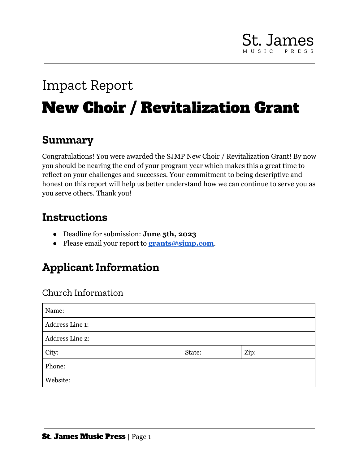# **St. James**

## Impact Report New Choir / Revitalization Grant

## **Summary**

Congratulations! You were awarded the SJMP New Choir / Revitalization Grant! By now you should be nearing the end of your program year which makes this a great time to reflect on your challenges and successes. Your commitment to being descriptive and honest on this report will help us better understand how we can continue to serve you as you serve others. Thank you!

## **Instructions**

- Deadline for submission: **June 5th, 2023**
- Please email your report to **[grants@sjmp.com](mailto:grants@sjmp.com)**.

## **Applicant Information**

## Church Information

| Name:           |        |      |  |  |  |
|-----------------|--------|------|--|--|--|
| Address Line 1: |        |      |  |  |  |
| Address Line 2: |        |      |  |  |  |
| City:           | State: | Zip: |  |  |  |
| Phone:          |        |      |  |  |  |
| Website:        |        |      |  |  |  |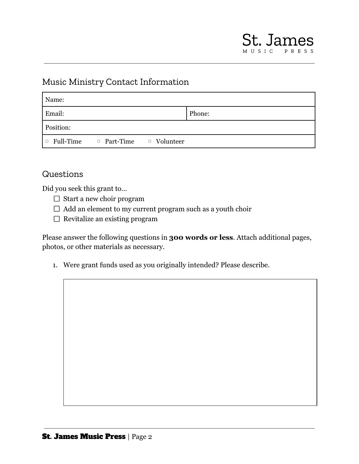### Music Ministry Contact Information

| Name:     |                                                    |  |        |  |
|-----------|----------------------------------------------------|--|--------|--|
| Email:    |                                                    |  | Phone: |  |
| Position: |                                                    |  |        |  |
|           | $\Box$ Full-Time $\Box$ Part-Time $\Box$ Volunteer |  |        |  |

### Questions

Did you seek this grant to…

- $\Box$  Start a new choir program
- $\Box$  Add an element to my current program such as a youth choir
- $\Box$  Revitalize an existing program

Please answer the following questions in **300 words or less**. Attach additional pages, photos, or other materials as necessary.

1. Were grant funds used as you originally intended? Please describe.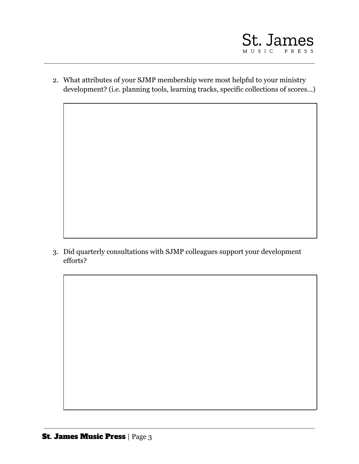

2. What attributes of your SJMP membership were most helpful to your ministry development? (i.e. planning tools, learning tracks, specific collections of scores…)

3. Did quarterly consultations with SJMP colleagues support your development efforts?